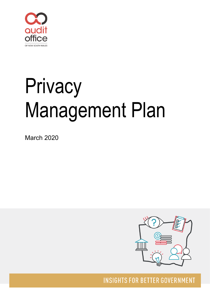

# Privacy Management Plan

March 2020



**INSIGHTS FOR BETTER GOVERNMENT**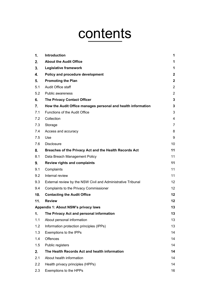## contents

| 1.  | Introduction                                                 | 1               |
|-----|--------------------------------------------------------------|-----------------|
| 2.  | <b>About the Audit Office</b>                                | 1               |
| 3.  | Legislative framework                                        | 1               |
| 4.  | Policy and procedure development                             | $\mathbf{2}$    |
| 5.  | <b>Promoting the Plan</b>                                    | $\mathbf{2}$    |
| 5.1 | Audit Office staff                                           | $\overline{2}$  |
| 5.2 | Public awareness                                             | $\overline{2}$  |
| 6.  | <b>The Privacy Contact Officer</b>                           | 3               |
| 7.  | How the Audit Office manages personal and health information | $\mathbf{3}$    |
| 7.1 | Functions of the Audit Office                                | 3               |
| 7.2 | Collection                                                   | 4               |
| 7.3 | Storage                                                      | $\overline{7}$  |
| 7.4 | Access and accuracy                                          | 8               |
| 7.5 | Use                                                          | 9               |
| 7.6 | <b>Disclosure</b>                                            | 10              |
| 8.  | Breaches of the Privacy Act and the Health Records Act       | 11              |
| 8.1 | Data Breach Management Policy                                | 11              |
| 9.  | <b>Review rights and complaints</b>                          | 11              |
| 9.1 | Complaints                                                   | 11              |
| 9.2 | Internal review                                              | 11              |
| 9.3 | External review by the NSW Civil and Administrative Tribunal | 12              |
| 9.4 | Complaints to the Privacy Commissioner                       | 12 <sup>2</sup> |
| 10. | <b>Contacting the Audit Office</b>                           | 12              |
| 11. | <b>Review</b>                                                | 12              |
|     | Appendix 1: About NSW's privacy laws                         | 13              |
| 1.  | The Privacy Act and personal information                     | 13              |
| 1.1 | About personal information                                   | 13              |
| 1.2 | Information protection principles (IPPs)                     | 13              |
| 1.3 | Exemptions to the IPPs                                       | 14              |
| 1.4 | <b>Offences</b>                                              | 14              |
| 1.5 | Public registers                                             | 14              |
| 2.  | The Health Records Act and health information                | 14              |
| 2.1 | About health information                                     | 14              |
| 2.2 | Health privacy principles (HPPs)                             | 14              |
| 2.3 | Exemptions to the HPPs                                       | 16              |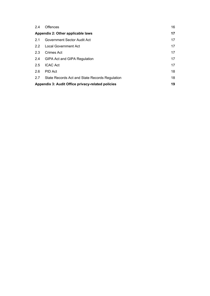| 2.4 | Offences                                          | 16 |
|-----|---------------------------------------------------|----|
|     | Appendix 2: Other applicable laws                 | 17 |
| 2.1 | Government Sector Audit Act                       | 17 |
| 2.2 | <b>Local Government Act</b>                       | 17 |
| 2.3 | Crimes Act                                        | 17 |
| 2.4 | GIPA Act and GIPA Regulation                      | 17 |
| 2.5 | <b>ICAC Act</b>                                   | 17 |
| 2.6 | PID Act                                           | 18 |
| 2.7 | State Records Act and State Records Regulation    | 18 |
|     | Appendix 3: Audit Office privacy-related policies | 19 |
|     |                                                   |    |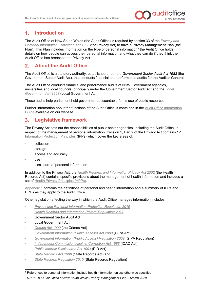

#### <span id="page-3-0"></span>**Introduction**  $1<sub>1</sub>$

The Audit Office of New South Wales (the Audit Office) is required by section 33 of the *[Privacy and](https://www.legislation.nsw.gov.au/%7E/view/act/1998/133)  [Personal Information Protection Act 1998](https://www.legislation.nsw.gov.au/%7E/view/act/1998/133)* (the Privacy Act) to have a Privacy Management Plan (the Plan). This Plan includes information on the type of personal information<sup>[1](#page-3-3)</sup> the Audit Office holds, details on how people can access their personal information and what they can do if they think the Audit Office has breached the Privacy Act.

#### <span id="page-3-1"></span> $2<sub>1</sub>$ **About the Audit Office**

The Audit Office is a statutory authority, established under the *Government Sector Audit Act 1983* (the Government Sector Audit Act), that conducts financial and performance audits for the Auditor-General.

The Audit Office conducts financial and performance audits of NSW Government agencies, universities and local councils, principally under the Government Sector Audit Act and the *[Local](https://www.legislation.nsw.gov.au/%7E/view/act/1993/30/full)  Government Act 1993* [\(Local Government Act\).](https://www.legislation.nsw.gov.au/%7E/view/act/1993/30/full)

These audits help parliament hold government accountable for its use of public resources.

Further information about the functions of the Audit Office is contained in the Audit Office [Information](https://www.audit.nsw.gov.au/sites/default/files/auditoffice/Governance-and-Policies---Current/AO%20Information%20Guide%20current%20version.pdf)  [Guide](https://www.audit.nsw.gov.au/sites/default/files/auditoffice/Governance-and-Policies---Current/AO%20Information%20Guide%20current%20version.pdf) available on our website.

#### <span id="page-3-2"></span>**Legislative framework** 3.

The Privacy Act sets out the responsibilities of public sector agencies, including the Audit Office, in respect of the management of personal information. Division 1, Part 2 of the Privacy Act contains 12 [Information Protection Principles](https://www.ipc.nsw.gov.au/information-protection-principles-ipps-agencies) (IPPs) which cover the key areas of:

- collection
- storage
- access and accuracy
- use
- disclosure of personal information.

In addition to the Privacy Act, the *[Health Records and Information Privacy Act 2002](https://www.legislation.nsw.gov.au/#/view/act/2002/71/full)* (the Health Records Act) contains specific provisions about the management of health information and includes a set of [Health Privacy Principles](http://www.ipc.nsw.gov.au/health-privacy-principles-hpps-explained-members-public) (HPPs).

[Appendix 1](#page-15-0) contains the definitions of personal and health information and a summary of IPPs and HPPs as they apply to the Audit Office.

Other legislation affecting the way in which the Audit Office manages information includes:

- *[Privacy and Personal Information Protection Regulation](https://www.legislation.nsw.gov.au/#/view/regulation/2019/391) 2019*
- *[Health Records and Information Privacy Regulation](https://www.legislation.nsw.gov.au/#/view/regulation/2017/215) 2017*
- Government Sector [Audit Act](https://legislation.nsw.gov.au/inforce/b6a5f35d-1e1f-6472-a0a9-87ba28f2ce75/1983-152.pdf)
- [Local Government Act](https://www.legislation.nsw.gov.au/#/view/act/1993/30)
- *[Crimes Act 1900](https://www.legislation.nsw.gov.au/%7E/view/act/1900/40)* (the Crimes Act)
- *[Government Information \(Public Access\) Act 2009](https://www.legislation.nsw.gov.au/%7E/view/act/2009/52)* (GIPA Act)
- *[Government Information \(Public Access\) Regulation 2009](https://www.legislation.nsw.gov.au/%7E/view/regulation/2010/343/full)* (GIPA Regulation)
- *[Independent Commission Against Corruption Act 1988](https://www.legislation.nsw.gov.au/%7E/view/act/1988/35)* (ICAC Act)
- *[Public Interest Disclosures Act 1994](https://www.legislation.nsw.gov.au/%7E/view/act/1994/92)* (PID Act)
- *[State Records Act 1998](https://www.legislation.nsw.gov.au/%7E/view/act/1998/17)* (State Records Act) and
- *[State Records Regulation 2015](https://www.legislation.nsw.gov.au/%7E/view/regulation/2015/505/full)* (State Records Regulation)

<span id="page-3-3"></span>*D2108299 Audit Office of New South Wales Privacy Management Plan – March 2020* 1 <sup>1</sup> References to personal information include health information unless otherwise specified.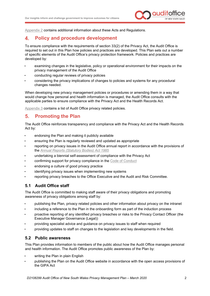

[Appendix 2](#page-19-0) contains additional information about these Acts and Regulations.

#### <span id="page-4-0"></span> $\blacktriangle$ **Policy and procedure development**

To ensure compliance with the requirements of section 33(2) of the Privacy Act, the Audit Office is required to set out in this Plan how policies and practices are developed. This Plan sets out a number of specific elements of the Audit Office's privacy protection framework. Policies and practices are developed by:

- examining changes in the legislative, policy or operational environment for their impacts on the privacy management of the Audit Office
- conducting regular reviews of privacy policies
- considering the privacy implications of changes to policies and systems for any procedural changes needed.

When developing new privacy management policies or procedures or amending them in a way that would change how personal and health information is managed, the Audit Office consults with the applicable parties to ensure compliance with the Privacy Act and the Health Records Act.

[Appendix 3](#page-21-0) contains a list of Audit Office privacy related policies.

#### <span id="page-4-1"></span> $5<sub>-</sub>$ **Promoting the Plan**

The Audit Office reinforces transparency and compliance with the Privacy Act and the Health Records Act by:

- endorsing the Plan and making it publicly available
- ensuring the Plan is regularly reviewed and updated as appropriate
- reporting on privacy issues in the Audit Office annual report in accordance with the provisions of the *[Annual Reports \(Statutory Bodies\) Act 1985](https://www.legislation.nsw.gov.au/#/view/act/1984/87)*
- undertaking a biennial self-assessment of compliance with the Privacy Act
- confirming support for privacy compliance in the [Code of Conduct](https://www.audit.nsw.gov.au/sites/default/files/2019-11/2019_Code%20of%20Conduct_November%202019%20-%20for%20publishing.pdf)
- endorsing a culture of good privacy practice
- identifying privacy issues when implementing new systems
- reporting privacy breaches to the Office Executive and the Audit and Risk Committee.

#### <span id="page-4-2"></span>**5.1 Audit Office staff**

The Audit Office is committed to making staff aware of their privacy obligations and promoting awareness of privacy obligations among staff by:

- publishing the Plan, privacy related policies and other information about privacy on the intranet
- including a reference to the Plan in the onboarding form as part of the induction process
- proactive reporting of any identified privacy breaches or risks to the Privacy Contact Officer (the Executive Manager Governance (Legal))
- providing specialist advice and guidance on privacy issues to staff when required
- providing updates to staff on changes to the legislation and key developments in the field.

#### <span id="page-4-3"></span>**5.2 Public awareness**

This Plan provides information to members of the public about how the Audit Office manages personal and health information. The Audit Office promotes public awareness of the Plan by:

- writing the Plan in plain English
- publishing the Plan on the Audit Office website in accordance with the open access provisions of the GIPA Act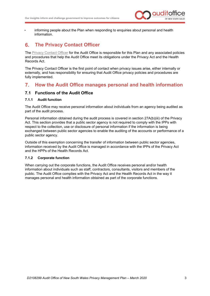

• informing people about the Plan when responding to enquiries about personal and health information.

#### <span id="page-5-0"></span> $6.$ **The Privacy Contact Officer**

The [Privacy Contact Officer](#page-14-2) for the Audit Office is responsible for this Plan and any associated policies and procedures that help the Audit Office meet its obligations under the Privacy Act and the Health Records Act.

The Privacy Contact Officer is the first point of contact when privacy issues arise, either internally or externally, and has responsibility for ensuring that Audit Office privacy policies and procedures are fully implemented.

#### <span id="page-5-1"></span> $7<sub>1</sub>$ **How the Audit Office manages personal and health information**

#### <span id="page-5-2"></span>**7.1 Functions of the Audit Office**

#### **7.1.1 Audit function**

The Audit Office may receive personal information about individuals from an agency being audited as part of the audit process.

Personal information obtained during the audit process is covered in section 27A(b)(iii) of the Privacy Act. This section provides that a public sector agency is not required to comply with the IPPs with respect to the collection, use or disclosure of personal information if the information is being exchanged between public sector agencies to enable the auditing of the accounts or performance of a public sector agency.

Outside of this exemption concerning the transfer of information between public sector agencies, information received by the Audit Office is managed in accordance with the IPPs of the Privacy Act and the HPPs of the Health Records Act.

#### **7.1.2 Corporate function**

When carrying out the corporate functions, the Audit Office receives personal and/or health information about individuals such as staff, contractors, consultants, visitors and members of the public. The Audit Office complies with the Privacy Act and the Health Records Act in the way it manages personal and health information obtained as part of the corporate functions.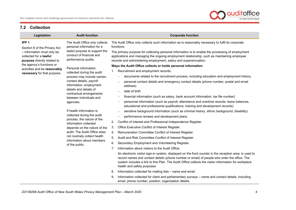

#### **7.2 Collection**

<span id="page-6-0"></span>

| Legislation                                                                         | <b>Audit function</b>                                                                                                                                                         | <b>Corporate function</b>                                                                                                                                                                                                                                                                                                                     |
|-------------------------------------------------------------------------------------|-------------------------------------------------------------------------------------------------------------------------------------------------------------------------------|-----------------------------------------------------------------------------------------------------------------------------------------------------------------------------------------------------------------------------------------------------------------------------------------------------------------------------------------------|
| IPP <sub>1</sub><br>Section 8 of the Privacy Act                                    | The Audit Office only collects<br>personal information for a<br>lawful purpose to support the<br>conduct of financial and<br>performance audits.                              | The Audit Office only collects such information as is reasonably necessary to fulfil its corporate<br>functions.                                                                                                                                                                                                                              |
| - information must only be<br>collected for a lawful<br>purpose directly related to |                                                                                                                                                                               | The primary purpose for collecting personal information is to enable the processing of employment<br>applications and managing the ongoing employment relationship, such as maintaining employee<br>records and administering employment, salary and superannuation.                                                                          |
| the agency's functions or                                                           | Personal information                                                                                                                                                          | Ways the Audit Office collects or holds personal information                                                                                                                                                                                                                                                                                  |
| activities and be reasonably<br>necessary for that purpose.                         | collected during the audit                                                                                                                                                    | Recruitment and employment records:<br>1.                                                                                                                                                                                                                                                                                                     |
|                                                                                     | process may include names,                                                                                                                                                    | documents related to the recruitment process, including education and employment history                                                                                                                                                                                                                                                      |
|                                                                                     | contact details, payroll<br>information, employment                                                                                                                           | personal contact details and emergency contact details (phone number, postal and email<br>address)                                                                                                                                                                                                                                            |
|                                                                                     | details and details of<br>contractual arrangements<br>between individuals and                                                                                                 | date of birth<br>$\overline{\phantom{a}}$                                                                                                                                                                                                                                                                                                     |
|                                                                                     |                                                                                                                                                                               | financial information (such as salary, bank account information, tax file number)                                                                                                                                                                                                                                                             |
|                                                                                     | agencies.                                                                                                                                                                     | personnel information (such as payroll, attendance and overtime records, leave balances,<br>$\overline{\phantom{m}}$<br>educational and professional qualifications, training and development records)                                                                                                                                        |
|                                                                                     | If health information is<br>collected during the audit<br>process, the nature of the<br>information collected<br>depends on the nature of the<br>audit. The Audit Office does | sensitive background information (such as criminal history, ethnic background, disability)<br>$\overline{\phantom{a}}$                                                                                                                                                                                                                        |
|                                                                                     |                                                                                                                                                                               | performance reviews and development plans.<br>$\overline{\phantom{0}}$                                                                                                                                                                                                                                                                        |
|                                                                                     |                                                                                                                                                                               | Conflict of Interest and Professional Independence Register.<br>2.                                                                                                                                                                                                                                                                            |
|                                                                                     |                                                                                                                                                                               | 3.<br>Office Executive Conflict of Interest Register.                                                                                                                                                                                                                                                                                         |
|                                                                                     |                                                                                                                                                                               | Remuneration Committee Conflict of Interest Register.<br>4.                                                                                                                                                                                                                                                                                   |
|                                                                                     | not routinely collect health<br>information about members                                                                                                                     | Audit and Risk Committee Conflict of Interest Register.<br>5.                                                                                                                                                                                                                                                                                 |
|                                                                                     | of the public.                                                                                                                                                                | Secondary Employment and Volunteering Register.<br>6.                                                                                                                                                                                                                                                                                         |
|                                                                                     |                                                                                                                                                                               | Information about visitors to the Audit Office:<br>$7_{\cdot}$                                                                                                                                                                                                                                                                                |
|                                                                                     |                                                                                                                                                                               | An electronic visitor sign-in system, displayed on the front counter in the reception area, is used to<br>record names and contact details (phone number or email) of people who enter the office. The<br>system includes a link to this Plan. The Audit Office collects the visitor information for workplace<br>health and safety purposes. |
|                                                                                     |                                                                                                                                                                               | Information collected for mailing lists - name and email.<br>8.                                                                                                                                                                                                                                                                               |
|                                                                                     |                                                                                                                                                                               | Information collected for client and parliamentary surveys - name and contact details, including<br>9.<br>email, phone number, position, organisation details.                                                                                                                                                                                |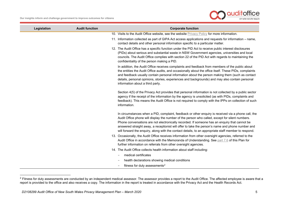<span id="page-7-0"></span>

| Legislation | <b>Audit function</b> | <b>Corporate function</b>                                                                                                                                                                                                                                                                                                                                                                                                                                                                                           |  |
|-------------|-----------------------|---------------------------------------------------------------------------------------------------------------------------------------------------------------------------------------------------------------------------------------------------------------------------------------------------------------------------------------------------------------------------------------------------------------------------------------------------------------------------------------------------------------------|--|
|             |                       | 10. Visits to the Audit Office website, see the website Privacy Policy for more information.                                                                                                                                                                                                                                                                                                                                                                                                                        |  |
|             |                       | 11. Information collected as part of GIPA Act access applications and requests for information – name,<br>contact details and other personal information specific to a particular matter.                                                                                                                                                                                                                                                                                                                           |  |
|             |                       | 12. The Audit Office has a specific function under the PID Act to receive public interest disclosures<br>(PIDs) about serious and substantial waste in NSW Government agencies, universities and local<br>councils. The Audit Office complies with section 22 of the PID Act with regards to maintaining the<br>confidentiality of the person making a PID.                                                                                                                                                         |  |
|             |                       | In addition, the Audit Office receives complaints and feedback from members of the public about<br>the entities the Audit Office audits, and occasionally about the office itself. These PIDs, complaints<br>and feedback usually contain personal information about the person making them (such as contact<br>details, personal opinions, stories, experiences and backgrounds) and may also contain personal<br>information about a third party.                                                                 |  |
|             |                       | Section 4(5) of the Privacy Act provides that personal information is not collected by a public sector<br>agency if the receipt of the information by the agency is unsolicited (as with PIDs, complaints and<br>feedback). This means the Audit Office is not required to comply with the IPPs on collection of such<br>information.                                                                                                                                                                               |  |
|             |                       | In circumstances when a PID, complaint, feedback or other enquiry is received via a phone call, the<br>Audit Office phone will display the number of the person who called, except for silent numbers.<br>Phone conversations are not electronically recorded. If someone has an enquiry that cannot be<br>answered straight away, a receptionist will offer to take the person's name and phone number and<br>will forward the enquiry, along with the contact details, to an appropriate staff member to respond. |  |
|             |                       | 13. Occasionally, the Audit Office receives information from other oversight agencies, referred to the<br>Audit Office in accordance with the Memoranda of Understanding. See part 7.6 of this Plan for<br>further information on referrals from other oversight agencies.                                                                                                                                                                                                                                          |  |
|             |                       | 14. The Audit Office collects health information about staff including:                                                                                                                                                                                                                                                                                                                                                                                                                                             |  |
|             |                       | medical certificates                                                                                                                                                                                                                                                                                                                                                                                                                                                                                                |  |
|             |                       | health declarations showing medical conditions                                                                                                                                                                                                                                                                                                                                                                                                                                                                      |  |
|             |                       | fitness for duty assessments <sup>2</sup>                                                                                                                                                                                                                                                                                                                                                                                                                                                                           |  |

<sup>&</sup>lt;sup>2</sup> Fitness for duty assessments are conducted by an independent medical assessor. The assessor provides a report to the Audit Office. The affected employee is aware that a report is provided to the office and also receives a copy. The information in the report is treated in accordance with the Privacy Act and the Health Records Act.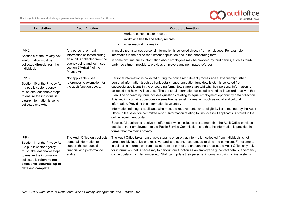

| Legislation                                                                                                                                                                                                                | <b>Audit function</b>                                                                                                                                                | <b>Corporate function</b>                                                                                                                                                                                                                                                                                                                                                                                                                                                                                                                                                                                                                                                                     |
|----------------------------------------------------------------------------------------------------------------------------------------------------------------------------------------------------------------------------|----------------------------------------------------------------------------------------------------------------------------------------------------------------------|-----------------------------------------------------------------------------------------------------------------------------------------------------------------------------------------------------------------------------------------------------------------------------------------------------------------------------------------------------------------------------------------------------------------------------------------------------------------------------------------------------------------------------------------------------------------------------------------------------------------------------------------------------------------------------------------------|
|                                                                                                                                                                                                                            |                                                                                                                                                                      | workers compensation records<br>$\qquad \qquad -$<br>workplace health and safety records<br>other medical information.                                                                                                                                                                                                                                                                                                                                                                                                                                                                                                                                                                        |
| IPP <sub>2</sub><br>Section 9 of the Privacy Act<br>- information must be<br>collected directly from the<br>individual.                                                                                                    | Any personal or health<br>information collected during<br>an audit is collected from the<br>agency being audited - see<br>section 27A(b)(iii) of the<br>Privacy Act. | In most circumstances personal information is collected directly from employees. For example,<br>information in the online recruitment application and in the onboarding form.<br>In some circumstances information about employees may be provided by third parties, such as third-<br>party recruitment providers, previous employers and nominated referees.                                                                                                                                                                                                                                                                                                                               |
| IPP <sub>3</sub><br>Section 10 of the Privacy Act<br>- a public sector agency<br>must take reasonable steps<br>to ensure the individual is<br><b>aware</b> information is being<br>collected and why.                      | Not applicable - see<br>references to exemption for<br>the audit function above.                                                                                     | Personal information is collected during the online recruitment process and subsequently further<br>personal information (such as bank details, superannuation fund details etc.) is collected from<br>successful applicants in the onboarding form. New starters are told why their personal information is<br>collected and how it will be used. The personal information collected is handled in accordance with this<br>Plan. The onboarding form includes questions relating to equal employment opportunity data collection.<br>This section contains questions on sensitive personal information, such as racial and cultural<br>information. Providing this information is voluntary. |
|                                                                                                                                                                                                                            |                                                                                                                                                                      | Information relating to applicants who meet the requirements for an eligibility list is retained by the Audit<br>Office in the selection committee report. Information relating to unsuccessful applicants is stored in the<br>online recruitment portal.                                                                                                                                                                                                                                                                                                                                                                                                                                     |
|                                                                                                                                                                                                                            |                                                                                                                                                                      | Successful applicants receive an offer letter which includes a statement that the Audit Office provides<br>details of their employment to the Public Service Commission, and that the information is provided in a<br>format that maintains privacy.                                                                                                                                                                                                                                                                                                                                                                                                                                          |
| IPP <sub>4</sub><br>Section 11 of the Privacy Act<br>- a public sector agency<br>must take reasonable steps<br>to ensure the information<br>collected is relevant, not<br>excessive, accurate, up to<br>date and complete. | The Audit Office only collects<br>personal information to<br>support the conduct of<br>financial and performance<br>audits.                                          | The Audit Office takes reasonable steps to ensure that information collected from individuals is not<br>unreasonably intrusive or excessive, and is relevant, accurate, up-to-date and complete. For example,<br>in collecting information from new starters as part of the onboarding process, the Audit Office only asks<br>for information that is necessary to perform our function as an employer e.g. contact details, emergency<br>contact details, tax file number etc. Staff can update their personal information using online systems.                                                                                                                                             |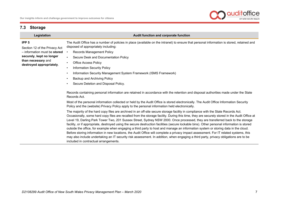#### **7.3 Storage**

**IPP 5**

#### **Legislation Audit function and corporate function**

Section 12 of the Privacy Act – information must be **stored securely**, **kept no longer than necessary** and **destroyed appropriately**.

- The Audit Office has a number of policies in place (available on the intranet) to ensure that personal information is stored, retained and disposed of appropriately including:
- Records Management Policy
- Secure Desk and Documentation Policy
- **Office Access Policy**
- **Information Security Policy**
- Information Security Management System Framework (ISMS Framework)
- Backup and Archiving Policy
- Secure Deletion and Disposal Policy.

Records containing personal information are retained in accordance with the retention and disposal authorities made under the State Records Act.

Most of the personal information collected or held by the Audit Office is stored electronically. The Audit Office Information Security Policy and the (website) Privacy Policy apply to the personal information held electronically.

<span id="page-9-0"></span>The majority of the hard copy files are archived in an off-site secure storage facility in compliance with the State Records Act. Occasionally, some hard copy files are recalled from the storage facility. During this time, they are securely stored in the Audit Office at Level 19, Darling Park Tower Two, 201 Sussex Street, Sydney NSW 2000. Once processed, they are transferred back to the storage facility, or if appropriate, destroyed using the secure destruction facilities (secure lockable bins). Other personal information is stored outside the office, for example when engaging a third party to host and manage an information system or storing data in the cloud. Before storing information in new locations, the Audit Office will complete a privacy impact assessment. For IT related systems, this may also include undertaking an IT security risk assessment. In addition, when engaging a third party, privacy obligations are to be included in contractual arrangements.

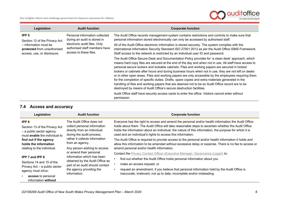**Our insights inform and challenge government to improve outcomes for citizens**



| Legislation                                                                         | <b>Audit function</b>                                                                   | <b>Corporate function</b>                                                                                                                                                                                                                                                                                                                                                                                                                                                                                                                                                                                                                                                                                                                                                                                  |
|-------------------------------------------------------------------------------------|-----------------------------------------------------------------------------------------|------------------------------------------------------------------------------------------------------------------------------------------------------------------------------------------------------------------------------------------------------------------------------------------------------------------------------------------------------------------------------------------------------------------------------------------------------------------------------------------------------------------------------------------------------------------------------------------------------------------------------------------------------------------------------------------------------------------------------------------------------------------------------------------------------------|
| IPP <sub>5</sub><br>Section 12 of the Privacy Act                                   | Personal information collected<br>during an audit is stored in                          | The Audit Office records management system contains restrictions and controls to make sure that<br>personal information stored electronically can only be accessed by authorised staff.                                                                                                                                                                                                                                                                                                                                                                                                                                                                                                                                                                                                                    |
| - information must be<br>protected from unauthorised<br>access, use, or disclosure. | electronic audit files. Only<br>authorised staff members have<br>access to these files. | All of the Audit Office electronic information is stored securely. The system complies with the<br>international Information Security Standard ISO 27001:2013 as per the Audit Office ISMS Framework.<br>Staff access to the network is restricted by an individual user ID and password.                                                                                                                                                                                                                                                                                                                                                                                                                                                                                                                  |
|                                                                                     |                                                                                         | The Audit Office Secure Desk and Documentation Policy provides for 'a clean desk' approach, which<br>means hard copy files are secured at the end of the day and when not in use. All staff have access to<br>personal secure lockers and lockable cabinets. Files and working papers are secured in locked<br>lockers or cabinets after hours and during business hours when not in use, they are not left on desks<br>or in other open areas. Files and working papers are only accessible by the employees requiring them<br>for the completion of specific duties. Drafts, spare copies and extra materials generated in the<br>handling of files and working papers that are deemed not to be an Audit Office record are to be<br>destroyed by means of Audit Office's secure destruction facilities. |
|                                                                                     |                                                                                         | Audit Office staff have security access cards to enter the office. Visitors cannot enter without<br>permission.                                                                                                                                                                                                                                                                                                                                                                                                                                                                                                                                                                                                                                                                                            |

#### **7.4 Access and accuracy**

<span id="page-10-0"></span>

| Legislation                                                                                                           | <b>Audit function</b>                                                                                                 | <b>Corporate function</b>                                                                                                                                                                                                                                                                                                                                                          |
|-----------------------------------------------------------------------------------------------------------------------|-----------------------------------------------------------------------------------------------------------------------|------------------------------------------------------------------------------------------------------------------------------------------------------------------------------------------------------------------------------------------------------------------------------------------------------------------------------------------------------------------------------------|
| IPP <sub>6</sub><br>Section 13 of the Privacy Act<br>- a public sector agency<br>must <b>enable</b> the individual to | The Audit Office does not<br>collect personal information<br>directly from an individual<br>during the audit process, | Everyone has the right to access and amend the personal and/or health information the Audit Office<br>holds about them. The Audit Office will take reasonable steps to ascertain whether the Audit Office<br>holds the information about an individual, the nature of this information, the purpose for which it is<br>used and an individual's rights to access this information. |
| find out if the agency<br>holds the information<br>relating to the individual.                                        | rather it collects information<br>from an agency.<br>Any person wishing to access                                     | The Audit Office is required to provide access to the personal and/or health information it holds and<br>allow this information to be amended without excessive delay or expense. There is no fee to access or<br>amend personal and/or health information.                                                                                                                        |
| <b>IPP 7 and IPP 8</b>                                                                                                | or amend their personal<br>information which has been                                                                 | <b>Contact the Privacy Contact Officer (Executive Manager, Governance (Legal)) to:</b>                                                                                                                                                                                                                                                                                             |
| Sections 14 and 15 of the                                                                                             | obtained by the Audit Office as                                                                                       | find out whether the Audit Office holds personal information about you                                                                                                                                                                                                                                                                                                             |
| Privacy Act - a public sector<br>agency must allow:                                                                   | part of an audit should contact<br>the agency providing the                                                           | make an access request, or<br>request an amendment, if you believe that personal information held by the Audit Office is                                                                                                                                                                                                                                                           |
| access to personal<br>information without                                                                             | information.                                                                                                          | inaccurate, irrelevant, not up to date, incomplete and/or misleading,                                                                                                                                                                                                                                                                                                              |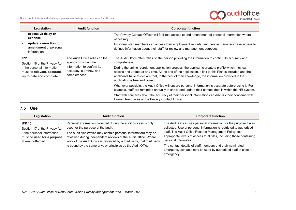**Our insights inform and challenge government to improve outcomes for citizens**



|                                                                                                                                            | Legislation                                                     | <b>Audit function</b>                                                                                                            | <b>Corporate function</b>                                                                                                                                                                                                                                                                                                                          |
|--------------------------------------------------------------------------------------------------------------------------------------------|-----------------------------------------------------------------|----------------------------------------------------------------------------------------------------------------------------------|----------------------------------------------------------------------------------------------------------------------------------------------------------------------------------------------------------------------------------------------------------------------------------------------------------------------------------------------------|
|                                                                                                                                            | excessive delay or<br>expense                                   |                                                                                                                                  | The Privacy Contact Officer will facilitate access to and amendment of personal information where<br>necessary.                                                                                                                                                                                                                                    |
|                                                                                                                                            | update, correction, or<br>amendment of personal<br>information. |                                                                                                                                  | Individual staff members can access their employment records, and people managers have access to<br>defined information about their staff for review and management purposes.                                                                                                                                                                      |
| IPP <sub>9</sub><br>Section 16 of the Privacy Act<br>- the personal information<br>must be relevant, accurate,<br>up to date and complete. |                                                                 | The Audit Office relies on the<br>agency providing the<br>information to confirm its<br>accuracy, currency, and<br>completeness. | The Audit Office often relies on the person providing the information to confirm its accuracy and<br>completeness.                                                                                                                                                                                                                                 |
|                                                                                                                                            |                                                                 |                                                                                                                                  | During the online recruitment application process, the applicants create a profile which they can<br>access and update at any time. At the end of the application, a link to this Plan is included and the<br>applicants have to declare that, to the best of their knowledge, the information provided in the<br>application is true and correct. |
|                                                                                                                                            |                                                                 |                                                                                                                                  | Whenever possible, the Audit Office will ensure personal information is accurate before using it. For<br>example, staff are reminded annually to check and update their contact details within the HR system.                                                                                                                                      |
|                                                                                                                                            |                                                                 |                                                                                                                                  | Staff with concerns about the accuracy of their personal information can discuss their concerns with<br>Human Resources or the Privacy Contact Officer.                                                                                                                                                                                            |

#### **7.5 Use**

<span id="page-11-0"></span>

| Legislation                                                                                                                     | <b>Audit function</b>                                                                                                                                                                                                                                                                                                                                                                 | <b>Corporate function</b>                                                                                                                                                                                                                                                                                                                                                                                                                      |
|---------------------------------------------------------------------------------------------------------------------------------|---------------------------------------------------------------------------------------------------------------------------------------------------------------------------------------------------------------------------------------------------------------------------------------------------------------------------------------------------------------------------------------|------------------------------------------------------------------------------------------------------------------------------------------------------------------------------------------------------------------------------------------------------------------------------------------------------------------------------------------------------------------------------------------------------------------------------------------------|
| <b>IPP 10</b><br>Section 17 of the Privacy Act<br>- the personal information<br>must be used for a purpose<br>it was collected. | Personal information collected during the audit process is only<br>used for the purpose of the audit.<br>The audit files (which may contain personal information) may be<br>reviewed during independent reviews of the Audit Office. Where<br>work of the Audit Office is reviewed by a third party, that third party<br>is bound by the same privacy principles as the Audit Office. | The Audit Office uses personal information for the purpose it was<br>collected. Use of personal information is restricted to authorised<br>staff. The Audit Office Records Management Policy sets<br>appropriate levels of access to all files, including those containing<br>personal information.<br>The contact details of staff members and their nominated<br>emergency contacts may be used by authorised staff in case of<br>emergency. |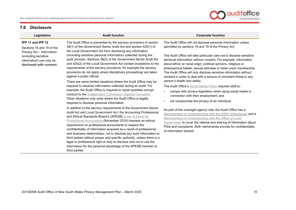

#### <span id="page-12-1"></span>**7.6 Disclosure**

| Legislation                                                                 | <b>Audit function</b>                                                                                                                                                                                                                                                                                                                                                                                                                                                                                                                                                                                                                                                                   | <b>Corporate function</b>                                                                                                                                                                                                                                                                                                                             |
|-----------------------------------------------------------------------------|-----------------------------------------------------------------------------------------------------------------------------------------------------------------------------------------------------------------------------------------------------------------------------------------------------------------------------------------------------------------------------------------------------------------------------------------------------------------------------------------------------------------------------------------------------------------------------------------------------------------------------------------------------------------------------------------|-------------------------------------------------------------------------------------------------------------------------------------------------------------------------------------------------------------------------------------------------------------------------------------------------------------------------------------------------------|
| IPP 11 and IPP 12<br>Sections 18 and 19 of the<br>Privacy Act - information | The Audit Office is prevented by the secrecy provisions of section<br>38(1) of the Government Sector Audit Act and section 425(1) of<br>the Local Government Act from disclosing any information                                                                                                                                                                                                                                                                                                                                                                                                                                                                                        | The Audit Office will not disclose personal information unless<br>permitted by sections 18 and 19 of the Privacy Act.                                                                                                                                                                                                                                 |
| (including sensitive<br>information) can only be<br>disclosed with consent. | (including sensitive personal information) collected during the<br>audit process. Sections 38(2) of the Government Sector Audit Act<br>and 425(2) of the Local Government Act contain exceptions to the<br>requirements of the secrecy provisions, for example the secrecy<br>provisions do not apply where disciplinary proceedings are taken<br>against a public official.                                                                                                                                                                                                                                                                                                            | The Audit Office will take particular care not to disclose sensitive<br>personal information without consent. For example, information<br>about ethnic or racial origin, political opinions, religious or<br>philosophical beliefs, sexual activities or trade union membership.<br>The Audit Office will only disclose sensitive information without |
|                                                                             | There are some limited situations where the Audit Office may be                                                                                                                                                                                                                                                                                                                                                                                                                                                                                                                                                                                                                         | consent in order to deal with a serious or imminent threat to any<br>person's health and safety.                                                                                                                                                                                                                                                      |
|                                                                             | required to disclose information collected during an audit. For<br>example, the Audit Office is required to report possible corrupt<br>conduct to the Independent Commission Against Corruption.<br>Other situations may arise where the Audit Office is legally<br>required to disclose personal information.                                                                                                                                                                                                                                                                                                                                                                          | The Audit Office's Social Media Policy requires staff to:<br>comply with privacy legislation when using social media in<br>$\bullet$<br>connection with their employment; and<br>not compromise the privacy of an individual.                                                                                                                         |
|                                                                             | In addition to the secrecy requirements of the Government Sector<br>Audit Act and Local Government Act, the Accounting Professional<br>and Ethical Standards Board's (APESB) Code of Ethics for<br>Professional Accountants (November 2018) imposes an ethical<br>requirement on professional accountants to respect the<br>confidentiality of information acquired as a result of professional<br>and business relationships, not to disclose any such information to<br>third parties without proper and specific authority, unless there is a<br>legal or professional right or duty to disclose and not to use the<br>information for the personal advantage of the APESB member or | As part of the oversight agency role, the Audit Office has a<br>Memorandum of Understanding with the NSW Ombudsman and a<br>Memorandum of Understanding with the Office of Local<br>Government to cover the referral and sharing of information about<br>PIDs and complaints. Both memoranda provide for confidentiality<br>of information shared.    |

<span id="page-12-0"></span>third parties.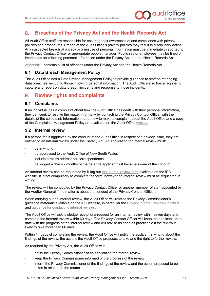

#### <span id="page-13-0"></span>**Breaches of the Privacy Act and the Health Records Act** 8.

All Audit Office staff are responsible for ensuring their awareness of and compliance with privacy policies and procedures. Breach of the Audit Office's privacy policies may result in disciplinary action. Any suspected breach of privacy or a misuse of personal information must be immediately reported to the Privacy Contact Officer or appropriate people manager. Public sector employees may be fined or imprisoned for misusing personal information under the Privacy Act and the Health Records Act.

[Appendix 1](#page-15-0) contains a list of offences under the Privacy Act and the Health Records Act.

#### <span id="page-13-1"></span>**8.1 Data Breach Management Policy**

The Audit Office has a Data Breach Management Policy to provide guidance to staff on managing data breaches, including those involving personal information. The Audit Office also has a register to capture and report on data breach incidents and response to those incidents.

#### <span id="page-13-2"></span> $9<sub>-</sub>$ **Review rights and complaints**

#### <span id="page-13-3"></span>**9.1 Complaints**

If an individual has a complaint about how the Audit Office has dealt with their personal information, they can seek to resolve the matter informally by contacting the Privacy Contact Officer with the details of the complaint. Information about how to make a complaint about the Audit Office and a copy of the Complaints Management Policy are available on the Audit Office [website.](https://www.audit.nsw.gov.au/make-a-complaint-about-us)

#### <span id="page-13-4"></span>**9.2 Internal review**

If a person feels aggrieved by the conduct of the Audit Office in respect of a privacy issue, they are entitled to an internal review under the Privacy Act. An application for internal review must:

- be in writing
- be addressed to the Audit Office of New South Wales
- include a return address for correspondence
- be lodged within six months of the date the applicant first became aware of the conduct.

An internal review can be requested by filling out [the internal review form](https://www.ipc.nsw.gov.au/privacy-complaint-internal-review-application-form) available on the IPC website. It is not compulsory to complete the form, however an internal review must be requested in writing.

The review will be conducted by the Privacy Contact Officer or another member of staff appointed by the Auditor-General if the matter is about the conduct of the Privacy Contact Officer.

When carrying out an internal review, the Audit Office will refer to the Privacy Commissioner's guidance materials available on the IPC website, in particular the [Privacy Internal Review Checklist](https://www.ipc.nsw.gov.au/sites/default/files/2019-02/Checklist_Privacy_Internal_Review_July2014_3.pdf) and [guidance for conducting internal reviews.](https://www.ipc.nsw.gov.au/privacy/privacy-resources-public-sector-agencies/how-handle-internal-review)

The Audit Office will acknowledge receipt of a request for an internal review within seven days and complete the internal review within 60 days. The Privacy Contact Officer will keep the applicant up to date with the progress of the internal review and will advise as soon as practicable if the review is likely to take more than 60 days.

Within 14 days of completing the review, the Audit Office will notify the applicant in writing about the findings of the review, the actions the Audit Office proposes to take and the right to further review.

As required by the Privacy Act, the Audit Office will:

- notify the Privacy Commissioner of an application for internal review
- keep the Privacy Commissioner informed of the progress of the review
- inform the Privacy Commissioner of the findings of the review and the action proposed to be taken in relation to the matter.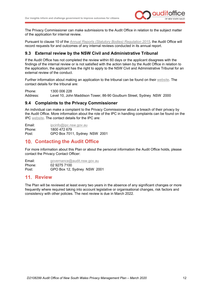

The Privacy Commissioner can make submissions to the Audit Office in relation to the subject matter of the application for internal review.

Pursuant to clause 10 of the *[Annual Reports \(Statutory Bodies\) Regulation 2015](https://www.legislation.nsw.gov.au/#/view/regulation/2015/493)*, the Audit Office will record requests for and outcomes of any internal reviews conducted in its annual report.

#### <span id="page-14-4"></span><span id="page-14-0"></span>**9.3 External review by the NSW Civil and Administrative Tribunal**

If the Audit Office has not completed the review within 60 days or the applicant disagrees with the findings of the internal review or is not satisfied with the action taken by the Audit Office in relation to the application, the applicant has the right to apply to the NSW Civil and Administrative Tribunal for an external review of the conduct.

Further information about making an application to the tribunal can be found on their [website.](http://www.ncat.nsw.gov.au/) The contact details for the tribunal are:

Phone: 1300 006 228 Address: Level 10, John Maddison Tower, 86-90 Goulburn Street, Sydney NSW 2000

#### <span id="page-14-1"></span>**9.4 Complaints to the Privacy Commissioner**

An individual can make a complaint to the Privacy Commissioner about a breach of their privacy by the Audit Office. More information about the role of the IPC in handling complaints can be found on the IPC [website.](https://www.ipc.nsw.gov.au/) The contact details for the IPC are:

Email: [ipcinfo@ipc.nsw.gov.au](mailto:ipcinfo@ipc.nsw.gov.au) Phone: 1800 472 679 Post: GPO Box 7011, Sydney NSW 2001

#### <span id="page-14-2"></span>**10. Contacting the Audit Office**

For more information about this Plan or about the personal information the Audit Office holds, please contact the Privacy Contact Officer:

Email: [governance@audit.nsw.gov.au](mailto:governance@audit.nsw.gov.au) Phone: 02 9275 7100<br>Post: GPO Box 12: GPO Box 12, Sydney NSW 2001

#### <span id="page-14-3"></span>**11. Review**

The Plan will be reviewed at least every two years in the absence of any significant changes or more frequently where required taking into account legislative or organisational changes, risk factors and consistency with other policies. The next review is due in March 2022.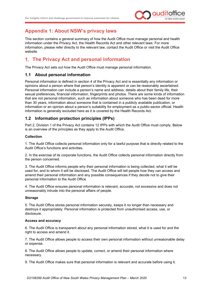

#### <span id="page-15-0"></span>**Appendix 1: About NSW's privacy laws**

This section contains a general summary of how the Audit Office must manage personal and health information under the Privacy Act, the Health Records Act and other relevant laws. For more information, please refer directly to the relevant law, contact the Audit Office or visit the Audit Office website.

#### <span id="page-15-1"></span>**The Privacy Act and personal information**

The Privacy Act sets out how the Audit Office must manage personal information.

#### <span id="page-15-2"></span>**1.1 About personal information**

Personal information is defined in section 4 of the Privacy Act and is essentially any information or opinions about a person where that person's identity is apparent or can be reasonably ascertained. Personal information can include a person's name and address, details about their family life, their sexual preferences, financial information, fingerprints and photos. There are some kinds of information that are not personal information, such as information about someone who has been dead for more than 30 years, information about someone that is contained in a publicly available publication, or information or an opinion about a person's suitability for employment as a public-sector official. Health information is generally excluded here as it is covered by the Health Records Act.

#### <span id="page-15-3"></span>**1.2 Information protection principles (IPPs)**

Part 2, Division 1 of the Privacy Act contains 12 IPPs with which the Audit Office must comply. Below is an overview of the principles as they apply to the Audit Office.

#### **Collection**

1. The Audit Office collects personal information only for a lawful purpose that is directly related to the Audit Office's functions and activities.

2. In the exercise of its corporate functions, the Audit Office collects personal information directly from the person concerned.

3. The Audit Office informs people why their personal information is being collected, what it will be used for, and to whom it will be disclosed. The Audit Office will tell people how they can access and amend their personal information and any possible consequences if they decide not to give their personal information to the Audit Office

4. The Audit Office ensures personal information is relevant, accurate, not excessive and does not unreasonably intrude into the personal affairs of people.

#### **Storage**

5. The Audit Office stores personal information securely, keeps it no longer than necessary and destroys it appropriately. Personal information is protected from unauthorised access, use, or disclosure.

#### **Access and accuracy**

6. The Audit Office is transparent about any personal information stored, what it is used for and the right to access and amend it.

7. The Audit Office allows people to access their own personal information without unreasonable delay or expense.

8. The Audit Office allows people to update, correct, or amend their personal information where necessary.

9. The Audit Office makes sure that personal information is relevant and accurate before using it.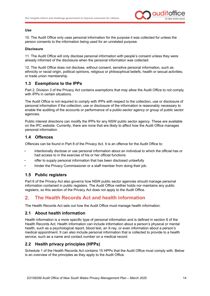

#### **Use**

10. The Audit Office only uses personal information for the purpose it was collected for unless the person consents to the information being used for an unrelated purpose.

#### **Disclosure**

11. The Audit Office will only disclose personal information with people's consent unless they were already informed of the disclosure when the personal information was collected.

12. The Audit Office does not disclose, without consent, sensitive personal information, such as ethnicity or racial origin, political opinions, religious or philosophical beliefs, health or sexual activities, or trade union membership.

#### <span id="page-16-0"></span>**1.3 Exemptions to the IPPs**

Part 2, Division 3 of the Privacy Act contains exemptions that may allow the Audit Office to not comply with IPPs in certain situations.

The Audit Office is not required to comply with IPPs with respect to the collection, use or disclosure of personal information if the collection, use or disclosure of the information is reasonably necessary to enable the auditing of the accounts or performance of a public-sector agency or group of public sector agencies.

Public interest directions can modify the IPPs for any NSW public sector agency. These are available on the IPC website. Currently, there are none that are likely to affect how the Audit Office manages personal information.

#### <span id="page-16-1"></span>**1.4 Offences**

Offences can be found in Part 8 of the Privacy Act. It is an offence for the Audit Office to:

- intentionally disclose or use personal information about an individual to which the official has or had access to in the exercise of his or her official functions
- offer to supply personal information that has been disclosed unlawfully
- hinder the Privacy Commissioner or a staff member from doing their job.

#### <span id="page-16-2"></span>**1.5 Public registers**

Part 6 of the Privacy Act also governs how NSW public sector agencies should manage personal information contained in public registers. The Audit Office neither holds nor maintains any public registers, so this section of the Privacy Act does not apply to the Audit Office.

#### <span id="page-16-3"></span> $2.$ **The Health Records Act and health information**

The Health Records Act sets out how the Audit Office must manage health information.

#### <span id="page-16-4"></span>**2.1 About health information**

Health information is a more specific type of personal information and is defined in section 6 of the Health Records Act. Health information can include information about a person's physical or mental health, such as a psychological report, blood test, an X-ray, or even information about a person's medical appointment. It can also include personal information that is collected to provide to a health service, such as a name and contact number on a medical record.

#### <span id="page-16-5"></span>**2.2 Health privacy principles (HPPs)**

Schedule 1 of the Health Records Act contains 15 HPPs that the Audit Office must comply with. Below is an overview of the principles as they apply to the Audit Office.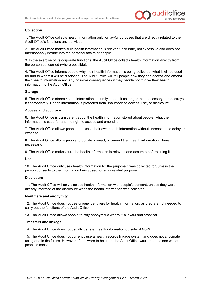

#### **Collection**

1. The Audit Office collects health information only for lawful purposes that are directly related to the Audit Office's functions and activities.

2. The Audit Office makes sure health information is relevant, accurate, not excessive and does not unreasonably intrude into the personal affairs of people.

3. In the exercise of its corporate functions, the Audit Office collects health information directly from the person concerned (where possible).

4. The Audit Office informs people why their health information is being collected, what it will be used for and to whom it will be disclosed. The Audit Office will tell people how they can access and amend their health information and any possible consequences if they decide not to give their health information to the Audit Office.

#### **Storage**

5. The Audit Office stores health information securely, keeps it no longer than necessary and destroys it appropriately. Health information is protected from unauthorised access, use, or disclosure.

#### **Access and accuracy**

6. The Audit Office is transparent about the health information stored about people, what the information is used for and the right to access and amend it.

7. The Audit Office allows people to access their own health information without unreasonable delay or expense.

8. The Audit Office allows people to update, correct, or amend their health information where necessary.

9. The Audit Office makes sure the health information is relevant and accurate before using it.

#### **Use**

10. The Audit Office only uses health information for the purpose it was collected for, unless the person consents to the information being used for an unrelated purpose.

#### **Disclosure**

11. The Audit Office will only disclose health information with people's consent, unless they were already informed of the disclosure when the health information was collected.

#### **Identifiers and anonymity**

12. The Audit Office does not use unique identifiers for health information, as they are not needed to carry out the functions of the Audit Office.

13. The Audit Office allows people to stay anonymous where it is lawful and practical.

#### **Transfers and linkage**

14. The Audit Office does not usually transfer health information outside of NSW.

15. The Audit Office does not currently use a health records linkage system and does not anticipate using one in the future. However, if one were to be used, the Audit Office would not use one without people's consent.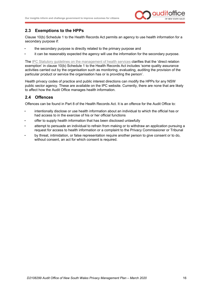

#### <span id="page-18-0"></span>**2.3 Exemptions to the HPPs**

Clause 10(b) Schedule 1 to the Health Records Act permits an agency to use health information for a secondary purpose if:

- the secondary purpose is directly related to the primary purpose and
- it can be reasonably expected the agency will use the information for the secondary purpose.

The IPC Statutory quidelines on the management of health services clarifies that the 'direct relation exemption' in clause 10(b) Schedule 1 to the Health Records Act includes 'some quality assurance activities carried out by the organisation such as monitoring, evaluating, auditing the provision of the particular product or service the organisation has or is providing the person'.

Health privacy codes of practice and public interest directions can modify the HPPs for any NSW public sector agency. These are available on the IPC website. Currently, there are none that are likely to affect how the Audit Office manages health information.

#### <span id="page-18-1"></span>**2.4 Offences**

Offences can be found in Part 8 of the Health Records Act. It is an offence for the Audit Office to:

- intentionally disclose or use health information about an individual to which the official has or had access to in the exercise of his or her official functions
- offer to supply health information that has been disclosed unlawfully
- attempt to persuade an individual to refrain from making or to withdraw an application pursuing a request for access to health information or a complaint to the Privacy Commissioner or Tribunal
- by threat, intimidation, or false representation require another person to give consent or to do, without consent, an act for which consent is required.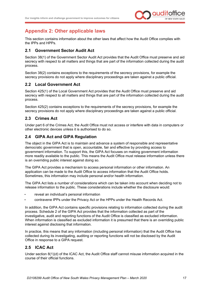

#### <span id="page-19-0"></span>**Appendix 2: Other applicable laws**

This section contains information about the other laws that affect how the Audit Office complies with the IPPs and HPPs.

#### <span id="page-19-1"></span>**2.1 Government Sector Audit Act**

Section 38(1) of the Government Sector Audit Act provides that the Audit Office must preserve and aid secrecy with respect to all matters and things that are part of the information collected during the audit process.

Section 38(2) contains exceptions to the requirements of the secrecy provisions, for example the secrecy provisions do not apply where disciplinary proceedings are taken against a public official.

#### <span id="page-19-2"></span>**2.2 Local Government Act**

Section 425(1) of the Local Government Act provides that the Audit Office must preserve and aid secrecy with respect to all matters and things that are part of the information collected during the audit process.

Section 425(2) contains exceptions to the requirements of the secrecy provisions, for example the secrecy provisions do not apply where disciplinary proceedings are taken against a public official.

#### <span id="page-19-3"></span>**2.3 Crimes Act**

Under part 6 of the Crimes Act, the Audit Office must not access or interfere with data in computers or other electronic devices unless it is authorised to do so.

#### <span id="page-19-4"></span>**2.4 GIPA Act and GIPA Regulation**

The object in the GIPA Act is to maintain and advance a system of responsible and representative democratic government that is open, accountable, fair and effective by providing access to government information. To support this, the GIPA Act focuses on making government information more readily available to the public. This means the Audit Office must release information unless there is an overriding public interest against doing so.

The GIPA Act provides a mechanism to access personal information or other information. An application can be made to the Audit Office to access information that the Audit Office holds. Sometimes, this information may include personal and/or health information.

The GIPA Act lists a number of considerations which can be taken into account when deciding not to release information to the public. These considerations include whether the disclosure would:

- reveal an individual's personal information
- contravene IPPs under the Privacy Act or the HPPs under the Health Records Act.

In addition, the GIPA Act contains specific provisions relating to information collected during the audit process. Schedule 2 of the GIPA Act provides that the information collected as part of the investigative, audit and reporting functions of the Audit Office is classified as excluded information. When information is classified as excluded information it is presumed that there is an overriding public interest against disclosing that information.

In practice, this means that any information (including personal information) that the Audit Office has collected during its investigating, auditing or reporting functions will not be disclosed by the Audit Office in response to a GIPA request.

#### <span id="page-19-5"></span>**2.5 ICAC Act**

Under section 8(1)(d) of the ICAC Act, the Audit Office staff cannot misuse information acquired in the course of their official functions.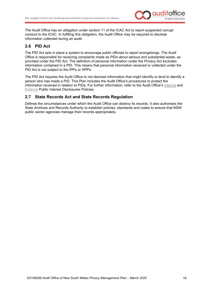

The Audit Office has an obligation under section 11 of the ICAC Act to report suspected corrupt conduct to the ICAC. In fulfilling this obligation, the Audit Office may be required to disclose information collected during an audit.

#### <span id="page-20-0"></span>**2.6 PID Act**

The PID Act sets in place a system to encourage public officials to report wrongdoings. The Audit Office is responsible for receiving complaints made as PIDs about serious and substantial waste, as provided under the PID Act. The definition of personal information under the Privacy Act excludes information contained in a PID. This means that personal information received or collected under the PID Act is not subject to the IPPs or HPPs.

The PID Act requires the Audit Office to not disclose information that might identify or tend to identify a person who has made a PID. This Plan includes the Audit Office's procedures to protect the information received in relation to PIDs. For further information, refer to the Audit Office's [Internal](https://www.audit.nsw.gov.au/sites/default/files/documents/Internal%20Public%20Interest%20Disclosure%20Policy%20-%20current%20version.pdf) and [External](https://www.audit.nsw.gov.au/sites/default/files/documents/External%20Public%20Interest%20Disclosures%20Policy%20-%20current%20version%20-%20February%202020.PDF.pdf) Public Interest Disclosures Policies.

#### <span id="page-20-1"></span>**2.7 State Records Act and State Records Regulation**

Defines the circumstances under which the Audit Office can destroy its records. It also authorises the State Archives and Records Authority to establish policies, standards and codes to ensure that NSW public sector agencies manage their records appropriately.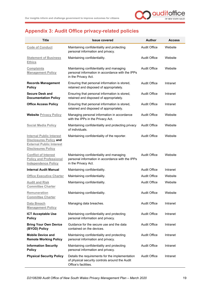

### <span id="page-21-0"></span>**Appendix 3: Audit Office privacy-related policies**

| <b>Title</b>                                                                                                                     | <b>Issue covered</b>                                                                                                      | <b>Author</b>       | <b>Access</b> |
|----------------------------------------------------------------------------------------------------------------------------------|---------------------------------------------------------------------------------------------------------------------------|---------------------|---------------|
| <b>Code of Conduct</b>                                                                                                           | Maintaining confidentiality and protecting<br>personal information and privacy.                                           | <b>Audit Office</b> | Website       |
| <b>Statement of Business</b><br><b>Ethics</b>                                                                                    | Maintaining confidentiality.                                                                                              | <b>Audit Office</b> | Website       |
| <b>Complaints</b><br><b>Management Policy</b>                                                                                    | Maintaining confidentiality and managing<br>personal information in accordance with the IPPs<br>in the Privacy Act.       | Audit Office        | Website       |
| <b>Records Management</b><br><b>Policy</b>                                                                                       | Ensuring that personal information is stored,<br>retained and disposed of appropriately.                                  | <b>Audit Office</b> | Intranet      |
| <b>Secure Desk and</b><br><b>Documentation Policy</b>                                                                            | Ensuring that personal information is stored,<br>retained and disposed of appropriately.                                  | <b>Audit Office</b> | Intranet      |
| <b>Office Access Policy</b>                                                                                                      | Ensuring that personal information is stored,<br>retained and disposed of appropriately.                                  | <b>Audit Office</b> | Intranet      |
| <b>Website Privacy Policy</b>                                                                                                    | Managing personal information in accordance<br>with the IPPs in the Privacy Act.                                          | Audit Office        | Website       |
| <b>Social Media Policy</b>                                                                                                       | Maintaining confidentiality and protecting privacy<br>of individuals.                                                     | <b>Audit Office</b> | Website       |
| <b>Internal Public Interest</b><br><b>Disclosures Policy and</b><br><b>External Public Interest</b><br><b>Disclosures Policy</b> | Maintaining confidentiality of the reporter.                                                                              | <b>Audit Office</b> | Website       |
| <b>Conflict of Interest</b><br><b>Policy and Professional</b><br><b>Independence Policy</b>                                      | Maintaining confidentiality and managing<br>personal information in accordance with the IPPs<br>in the Privacy Act.       | <b>Audit Office</b> | Website       |
| Internal Audit Manual                                                                                                            | Maintaining confidentiality.                                                                                              | <b>Audit Office</b> | Intranet      |
| <b>Office Executive Charter</b>                                                                                                  | Maintaining confidentiality.                                                                                              | <b>Audit Office</b> | Website       |
| <b>Audit and Risk</b><br><b>Committee Charter</b>                                                                                | Maintaining confidentiality.                                                                                              | <b>Audit Office</b> | Website       |
| <b>Remuneration</b><br><b>Committee Charter</b>                                                                                  | Maintaining confidentiality.                                                                                              | <b>Audit Office</b> | Website       |
| Data Breach<br><b>Management Policy</b>                                                                                          | Managing data breaches.                                                                                                   | <b>Audit Office</b> | Intranet      |
| <b>ICT Acceptable Use</b><br><b>Policy</b>                                                                                       | Maintaining confidentiality and protecting<br>personal information and privacy.                                           | <b>Audit Office</b> | Intranet      |
| <b>Bring Your Own Device</b><br>(BYOD) Policy                                                                                    | Guidance for the secure use and the data<br>contained on the devices.                                                     | <b>Audit Office</b> | Intranet      |
| <b>Mobile Device and</b><br><b>Remote Working Policy</b>                                                                         | Maintaining confidentiality and protecting<br>personal information and privacy.                                           | <b>Audit Office</b> | Intranet      |
| <b>Information Security</b><br><b>Policy</b>                                                                                     | Maintaining confidentiality and protecting<br>personal information and privacy.                                           | <b>Audit Office</b> | Intranet      |
| <b>Physical Security Policy</b>                                                                                                  | Details the requirements for the implementation<br>of physical security controls around the Audit<br>Office's facilities. | <b>Audit Office</b> | Intranet      |